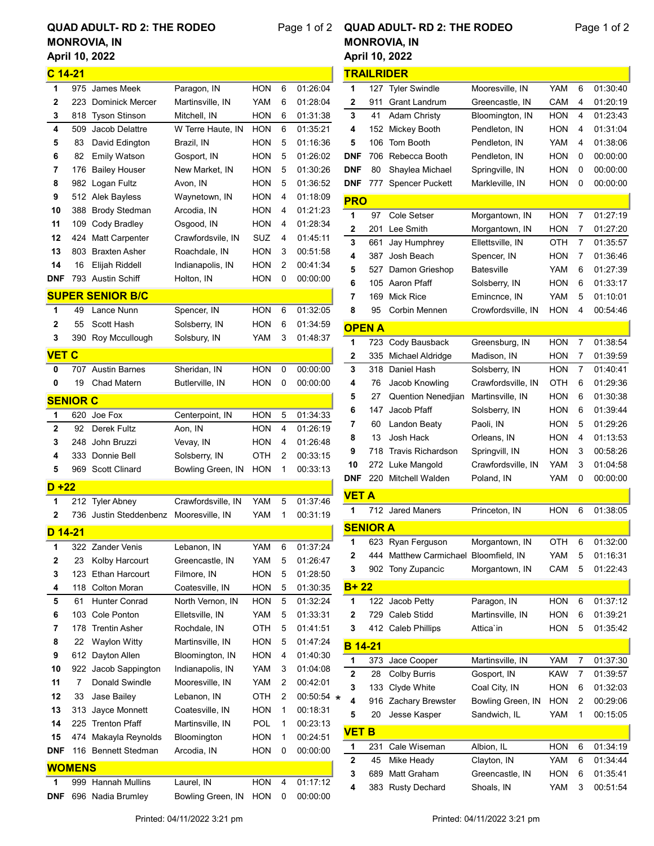## April 10, 2022 QUAD ADULT- RD 2: THE RODEO MONROVIA, IN

## Page 1 of 2 **QUAD ADULT- RD 2: THE RODEO**

## April 10, 2022 MONROVIA, IN

Page 1 of 2

|              |                 | Aprii 10, 2022          |                    |            |   |                  |
|--------------|-----------------|-------------------------|--------------------|------------|---|------------------|
| $C$ 14-21    |                 |                         |                    |            |   |                  |
| 1            | 975             | James Meek              | Paragon, IN        | HON        | 6 | 01:26:04         |
| 2            | 223             | <b>Dominick Mercer</b>  | Martinsville, IN   | YAM        | 6 | 01:28:04         |
| 3            | 818             | <b>Tyson Stinson</b>    | Mitchell, IN       | HON        | 6 | 01:31:38         |
| 4            | 509             | Jacob Delattre          | W Terre Haute, IN  | HON        | 6 | 01:35:21         |
| 5            | 83              | David Edington          | Brazil, IN         | HON        | 5 | 01:16:36         |
| 6            | 82              | <b>Emily Watson</b>     | Gosport, IN        | HON        | 5 | 01:26:02         |
| 7            | 176             | <b>Bailey Houser</b>    | New Market, IN     | HON        | 5 | 01:30:26         |
| 8            | 982             | Logan Fultz             | Avon, IN           | HON        | 5 | 01:36:52         |
| 9            |                 | 512 Alek Bayless        | Waynetown, IN      | HON        | 4 | 01:18:09         |
| 10           | 388             | <b>Brody Stedman</b>    | Arcodia, IN        | HON        | 4 | 01:21:23         |
| 11           | 109             | Cody Bradley            | Osgood, IN         | HON        | 4 | 01:28:34         |
| 12           | 424             | Matt Carpenter          | Crawfordsvile, IN  | SUZ        | 4 | 01:45:11         |
| 13           | 803             | <b>Braxten Asher</b>    | Roachdale, IN      | HON        | 3 | 00:51:58         |
| 14           | 16              | Elijah Riddell          | Indianapolis, IN   | HON        | 2 | 00:41:34         |
| <b>DNF</b>   |                 | 793 Austin Schiff       | Holton, IN         | HON        | 0 | 00:00:00         |
|              |                 | <b>SUPER SENIOR B/C</b> |                    |            |   |                  |
| 1            |                 |                         |                    |            |   |                  |
|              | 49              | Lance Nunn              | Spencer, IN        | HON        | 6 | 01:32:05         |
| 2            | 55              | Scott Hash              | Solsberry, IN      | HON        | 6 | 01:34:59         |
| 3            | 390             | Roy Mccullough          | Solsbury, IN       | YAM        | 3 | 01:48:37         |
| <b>VET C</b> |                 |                         |                    |            |   |                  |
| 0            | 707             | <b>Austin Barnes</b>    | Sheridan, IN       | HON        | 0 | 00:00:00         |
| 0            | 19              | Chad Matern             | Butlerville, IN    | HON        | 0 | 00:00:00         |
|              | <b>SENIOR C</b> |                         |                    |            |   |                  |
| 1            | 620             | Joe Fox                 | Centerpoint, IN    | HON        | 5 | 01:34:33         |
| 2            | 92              | Derek Fultz             | Aon, IN            | HON        | 4 | 01:26:19         |
| 3            | 248             | John Bruzzi             | Vevay, IN          | HON        | 4 | 01:26:48         |
| 4            | 333             | Donnie Bell             | Solsberry, IN      | OTH        | 2 | 00:33:15         |
| 5            | 969             | <b>Scott Clinard</b>    | Bowling Green, IN  | HON        | 1 | 00:33:13         |
|              |                 |                         |                    |            |   |                  |
| $D + 22$     |                 |                         |                    |            |   |                  |
| 1            | 212             | <b>Tyler Abney</b>      | Crawfordsville, IN | YAM        | 5 | 01:37:46         |
| 2            | 736             | Justin Steddenbenz      | Mooresville, IN    | YAM        | 1 | 00:31:19         |
| D 14-21      |                 |                         |                    |            |   |                  |
| 1            | 322             | <b>Zander Venis</b>     | Lebanon, IN        | YAM        | 6 | 01:37:24         |
| 2            | 23              | Kolby Harcourt          | Greencastle, IN    | YAM        | 5 | 01:26:47         |
| 3            | 123             | Ethan Harcourt          | Filmore, IN        | HON        | 5 | 01:28:50         |
| 4            | 118             | <b>Colton Moran</b>     | Coatesville, IN    | HON        | 5 | 01:30:35         |
| 5            | 61              | Hunter Conrad           | North Vernon, IN   | HON        | 5 | 01:32:24         |
| 6            | 103             | Cole Ponton             | Elletsville, IN    | YAM        | 5 | 01:33:31         |
| 7            | 178             | <b>Trentin Asher</b>    | Rochdale, IN       | OTH        | 5 | 01:41:51         |
| 8            | 22              | Waylon Witty            | Martinsville, IN   | HON        | 5 | 01:47:24         |
| 9            | 612             | Dayton Allen            | Bloomington, IN    | HON        | 4 | 01:40:30         |
| 10           | 922             | Jacob Sappington        | Indianapolis, IN   | YAM        | 3 | 01:04:08         |
| 11           | $\overline{7}$  | Donald Swindle          | Mooresville, IN    | YAM        | 2 | 00:42:01         |
| 12           | 33              | Jase Bailey             | Lebanon, IN        | отн        | 2 | 00:50:54 $\star$ |
| 13           | 313             | Jayce Monnett           | Coatesville, IN    | HON        | 1 | 00:18:31         |
| 14           | 225             | <b>Trenton Pfaff</b>    | Martinsville, IN   | POL        | 1 | 00:23:13         |
| 15           | 474             | Makayla Reynolds        | Bloomington        | HON        | 1 | 00:24:51         |
| DNF          | 116             | <b>Bennett Stedman</b>  | Arcodia, IN        | HON        | 0 | 00:00:00         |
|              | <b>WOMENS</b>   |                         |                    |            |   |                  |
|              |                 |                         |                    |            |   |                  |
| 1            |                 | 999 Hannah Mullins      | Laurel, IN         | <b>HON</b> | 4 | 01:17:12         |
| DNF          | 696             | Nadia Brumley           | Bowling Green, IN  | HON        | 0 | 00:00:00         |

|   |                 |     | <u>TRAILRIDER</u>                     |                    |            |   |          |  |  |
|---|-----------------|-----|---------------------------------------|--------------------|------------|---|----------|--|--|
|   | 1               | 127 | <b>Tyler Swindle</b>                  | Mooresville, IN    | YAM        | 6 | 01:30:40 |  |  |
|   | 2               | 911 | Grant Landrum                         | Greencastle, IN    | CAM        | 4 | 01:20:19 |  |  |
|   | 3               | 41  | <b>Adam Christy</b>                   | Bloomington, IN    | HON        | 4 | 01:23:43 |  |  |
|   | 4               | 152 | Mickey Booth                          | Pendleton, IN      | <b>HON</b> | 4 | 01:31:04 |  |  |
|   | 5               | 106 | Tom Booth                             | Pendleton, IN      | YAM        | 4 | 01:38:06 |  |  |
|   | <b>DNF</b>      |     | 706 Rebecca Booth                     | Pendleton, IN      | HON        | 0 | 00:00:00 |  |  |
|   | DNF             | 80  | Shaylea Michael                       | Springville, IN    | HON        | 0 | 00:00:00 |  |  |
|   | <b>DNF</b>      | 777 | <b>Spencer Puckett</b>                | Markleville, IN    | HON        | 0 | 00:00:00 |  |  |
|   | <b>PRO</b>      |     |                                       |                    |            |   |          |  |  |
|   | 1               | 97  | Cole Setser                           | Morgantown, IN     | HON        | 7 | 01:27:19 |  |  |
|   | 2               | 201 | Lee Smith                             | Morgantown, IN     | HON        | 7 | 01:27:20 |  |  |
|   | 3               |     |                                       | Ellettsville, IN   |            | 7 | 01:35:57 |  |  |
|   |                 | 661 | Jay Humphrey                          |                    | OTH        |   |          |  |  |
|   | 4               | 387 | Josh Beach                            | Spencer, IN        | HON        | 7 | 01:36:46 |  |  |
|   | 5               | 527 | Damon Grieshop                        | <b>Batesville</b>  | YAM        | 6 | 01:27:39 |  |  |
|   | 6               |     | 105 Aaron Pfaff                       | Solsberry, IN      | HON        | 6 | 01:33:17 |  |  |
|   | 7               |     | 169 Mick Rice                         | Emincnce, IN       | YAM        | 5 | 01:10:01 |  |  |
|   | 8               | 95  | Corbin Mennen                         | Crowfordsville, IN | HON        | 4 | 00:54:46 |  |  |
|   | <b>OPEN A</b>   |     |                                       |                    |            |   |          |  |  |
|   | 1               | 723 | Cody Bausback                         | Greensburg, IN     | HON        | 7 | 01:38:54 |  |  |
|   | 2               | 335 | <b>Michael Aldridge</b>               | Madison, IN        | HON        | 7 | 01:39:59 |  |  |
|   | 3               |     | 318 Daniel Hash                       | Solsberry, IN      | HON        | 7 | 01:40:41 |  |  |
|   | 4               | 76  | Jacob Knowling                        | Crawfordsville, IN | OTH        | 6 | 01:29:36 |  |  |
|   | 5               | 27  | <b>Quention Nenedjian</b>             | Martinsville, IN   | HON        | 6 | 01:30:38 |  |  |
|   | 6               | 147 | Jacob Pfaff                           | Solsberry, IN      | HON        | 6 | 01:39:44 |  |  |
|   | 7               | 60  | Landon Beaty                          | Paoli, IN          | HON        | 5 | 01:29:26 |  |  |
|   | 8               | 13  | <b>Josh Hack</b>                      | Orleans, IN        | HON        | 4 | 01:13:53 |  |  |
|   | 9               | 718 | <b>Travis Richardson</b>              | Springvill, IN     | HON        | 3 | 00:58:26 |  |  |
|   | 10              | 272 | Luke Mangold                          | Crawfordsville, IN | YAM        | 3 | 01:04:58 |  |  |
|   | <b>DNF</b>      | 220 | Mitchell Walden                       | Poland, IN         | YAM        | 0 | 00:00:00 |  |  |
|   |                 |     |                                       |                    |            |   |          |  |  |
|   | <b>VET A</b>    |     |                                       |                    |            |   |          |  |  |
|   | 1               | 712 | <b>Jared Maners</b>                   | Princeton, IN      | HON        | 6 | 01:38:05 |  |  |
|   | <b>SENIOR A</b> |     |                                       |                    |            |   |          |  |  |
|   | Ί               |     | 623 Ryan Ferguson                     | Morgantown, IN     | OTH        | 6 | 01:32:00 |  |  |
|   | 2               |     | 444 Matthew Carmichael Bloomfield, IN |                    | YAM        | 5 | 01:16:31 |  |  |
|   | 3               |     | 902 Tony Zupancic                     | Morgantown, IN     | CAM        | 5 | 01:22:43 |  |  |
|   | $B+22$          |     |                                       |                    |            |   |          |  |  |
|   | 1               | 122 | Jacob Petty                           | Paragon, IN        | <b>HON</b> | 6 | 01:37:12 |  |  |
|   | 2               | 729 | Caleb Stidd                           | Martinsville, IN   | HON        | 6 | 01:39:21 |  |  |
|   | 3               | 412 | <b>Caleb Phillips</b>                 | Attica'in          | HON        | 5 | 01:35:42 |  |  |
|   |                 |     |                                       |                    |            |   |          |  |  |
|   | <b>B</b> 14-21  |     |                                       |                    |            |   |          |  |  |
|   | 1               | 373 | Jace Cooper                           | Martinsville, IN   | YAM        | 7 | 01:37:30 |  |  |
|   | 2               | 28  | <b>Colby Burris</b>                   | Gosport, IN        | <b>KAW</b> | 7 | 01:39:57 |  |  |
|   | 3               | 133 | Clyde White                           | Coal City, IN      | HON        | 6 | 01:32:03 |  |  |
| * | 4               | 916 | Zachary Brewster                      | Bowling Green, IN  | <b>HON</b> | 2 | 00:29:06 |  |  |
|   | 5               | 20  | Jesse Kasper                          | Sandwich, IL       | YAM        | 1 | 00:15:05 |  |  |
|   | <u>VET B</u>    |     |                                       |                    |            |   |          |  |  |
|   | 1               | 231 | Cale Wiseman                          | Albion, IL         | HON        | 6 | 01:34:19 |  |  |
|   | 2               | 45  | Mike Heady                            | Clayton, IN        | YAM        | 6 | 01:34:44 |  |  |
|   | 3               | 689 | Matt Graham                           | Greencastle, IN    | HON        | 6 | 01:35:41 |  |  |
|   | 4               | 383 | <b>Rusty Dechard</b>                  | Shoals, IN         | YAM        | 3 | 00:51:54 |  |  |
|   |                 |     |                                       |                    |            |   |          |  |  |